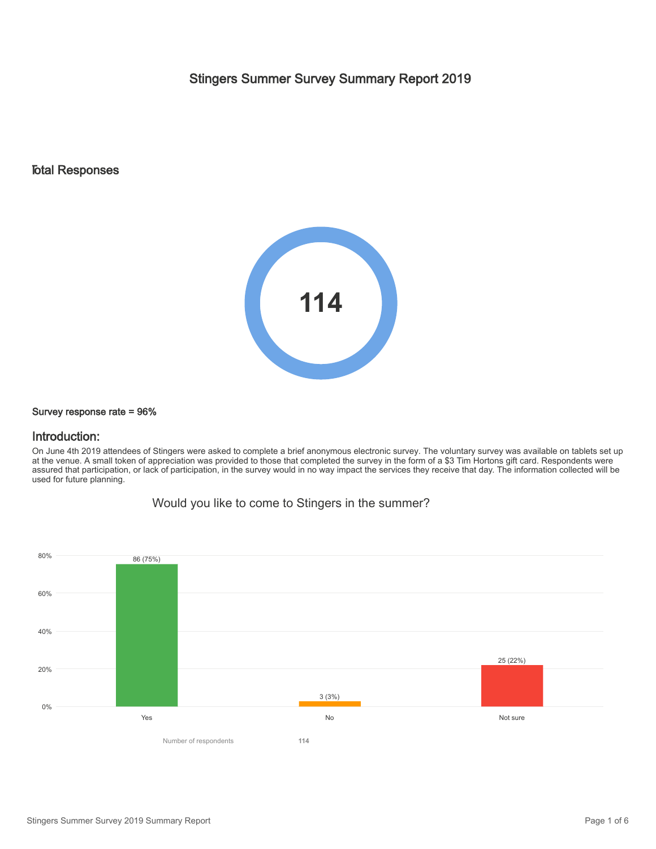Stingers Summer Survey Summary Report 2019

### Total Responses



#### Survey response rate = 96%

#### Introduction:

On June 4th 2019 attendees of Stingers were asked to complete a brief anonymous electronic survey. The voluntary survey was available on tablets set up at the venue. A small token of appreciation was provided to those that completed the survey in the form of a \$3 Tim Hortons gift card. Respondents were assured that participation, or lack of participation, in the survey would in no way impact the services they receive that day. The information collected will be used for future planning.

Would you like to come to Stingers in the summer?

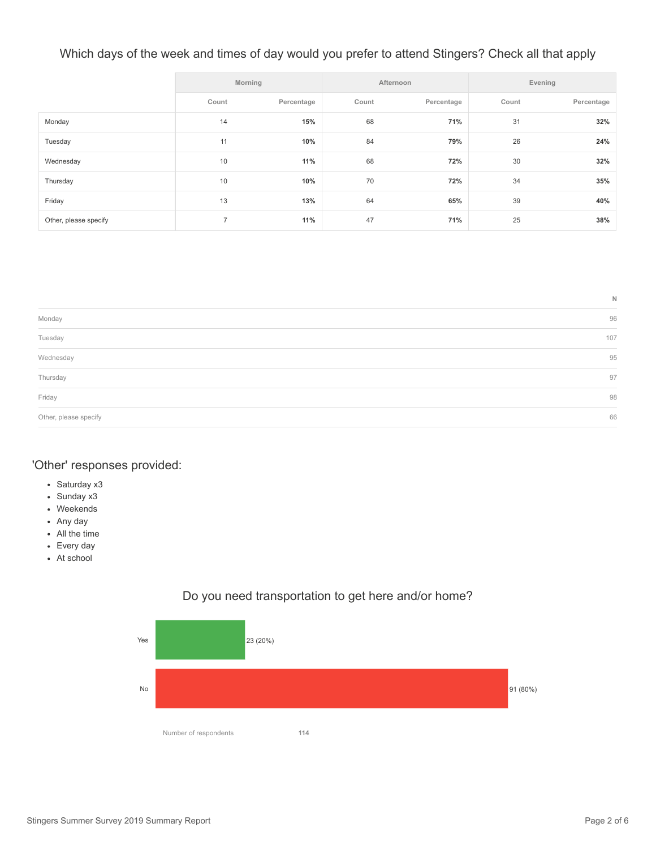# Which days of the week and times of day would you prefer to attend Stingers? Check all that apply

|                       | Morning        |            | Afternoon |            | Evening |            |
|-----------------------|----------------|------------|-----------|------------|---------|------------|
|                       | Count          | Percentage | Count     | Percentage | Count   | Percentage |
| Monday                | 14             | 15%        | 68        | 71%        | 31      | 32%        |
| Tuesday               | 11             | 10%        | 84        | 79%        | 26      | 24%        |
| Wednesday             | 10             | 11%        | 68        | 72%        | 30      | 32%        |
| Thursday              | 10             | 10%        | 70        | 72%        | 34      | 35%        |
| Friday                | 13             | 13%        | 64        | 65%        | 39      | 40%        |
| Other, please specify | $\overline{7}$ | 11%        | 47        | 71%        | 25      | 38%        |

|                                         | N   |
|-----------------------------------------|-----|
| Monday                                  | 96  |
| Tuesday                                 | 107 |
| Wednesday                               | 95  |
| Thursday<br>and the control of the con- | 97  |
| Friday                                  | 98  |
| Other, please specify                   | 66  |

### 'Other' responses provided:

- Saturday x3
- Sunday x3
- Weekends
- Any day
- All the time
- Every day
- At school



## Do you need transportation to get here and/or home?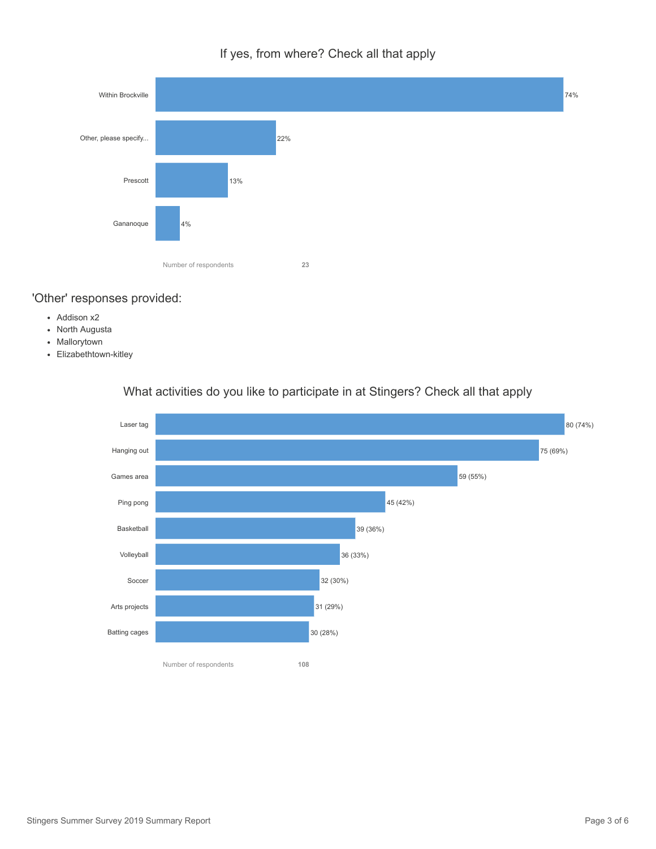If yes, from where? Check all that apply



# 'Other' responses provided:

- Addison x2
- North Augusta
- Mallorytown
- Elizabethtown-kitley



# What activities do you like to participate in at Stingers? Check all that apply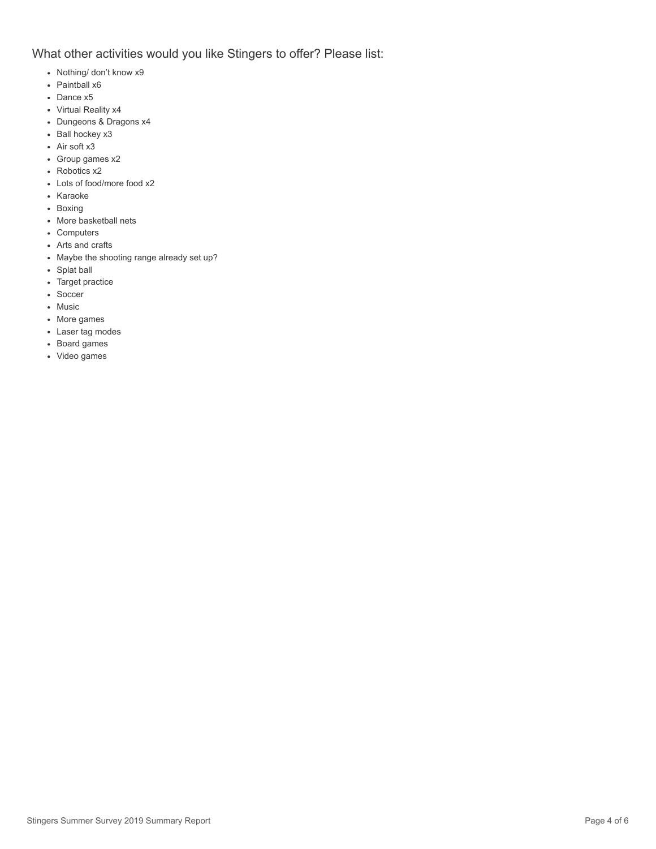## What other activities would you like Stingers to offer? Please list:

- Nothing/ don't know x9
- Paintball x6
- Dance x5
- Virtual Reality x4
- Dungeons & Dragons x4
- Ball hockey x3
- Air soft x3
- Group games x2
- Robotics x2
- Lots of food/more food x2
- Karaoke
- Boxing
- More basketball nets
- Computers
- Arts and crafts
- Maybe the shooting range already set up?
- Splat ball
- Target practice
- Soccer
- Music
- More games
- Laser tag modes
- Board games
- Video games